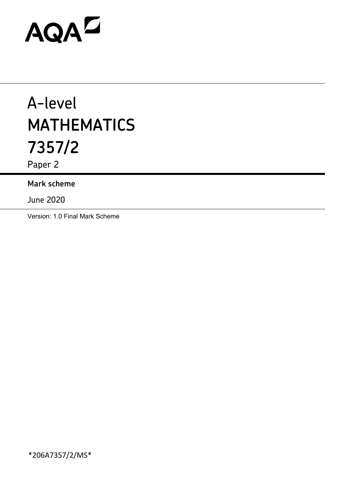# AQAD

# A-level **MATHEMATICS 7357/2**

Paper 2

## **Mark scheme**

June 2020

Version: 1.0 Final Mark Scheme

\*206A7357/2/MS\*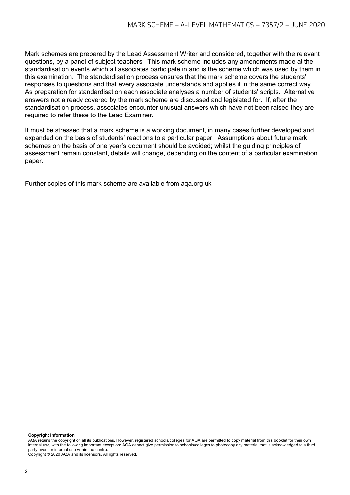Mark schemes are prepared by the Lead Assessment Writer and considered, together with the relevant questions, by a panel of subject teachers. This mark scheme includes any amendments made at the standardisation events which all associates participate in and is the scheme which was used by them in this examination. The standardisation process ensures that the mark scheme covers the students' responses to questions and that every associate understands and applies it in the same correct way. As preparation for standardisation each associate analyses a number of students' scripts. Alternative answers not already covered by the mark scheme are discussed and legislated for. If, after the standardisation process, associates encounter unusual answers which have not been raised they are required to refer these to the Lead Examiner.

It must be stressed that a mark scheme is a working document, in many cases further developed and expanded on the basis of students' reactions to a particular paper. Assumptions about future mark schemes on the basis of one year's document should be avoided; whilst the guiding principles of assessment remain constant, details will change, depending on the content of a particular examination paper.

Further copies of this mark scheme are available from aqa.org.uk

#### **Copyright information**

AQA retains the copyright on all its publications. However, registered schools/colleges for AQA are permitted to copy material from this booklet for their own internal use, with the following important exception: AQA cannot give permission to schools/colleges to photocopy any material that is acknowledged to a third party even for internal use within the centre.

Copyright © 2020 AQA and its licensors. All rights reserved.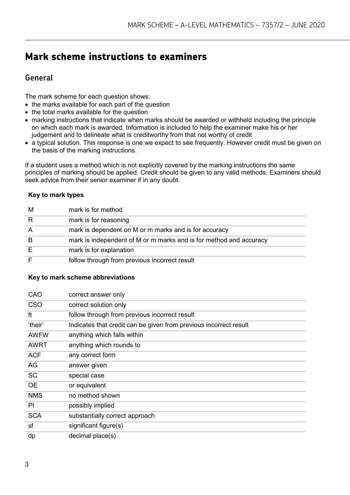# **Mark scheme instructions to examiners**

## **General**

The mark scheme for each question shows:

- the marks available for each part of the question
- the total marks available for the question
- marking instructions that indicate when marks should be awarded or withheld including the principle on which each mark is awarded. Information is included to help the examiner make his or her judgement and to delineate what is creditworthy from that not worthy of credit
- a typical solution. This response is one we expect to see frequently. However credit must be given on the basis of the marking instructions.

If a student uses a method which is not explicitly covered by the marking instructions the same principles of marking should be applied. Credit should be given to any valid methods. Examiners should seek advice from their senior examiner if in any doubt.

#### **Key to mark types**

| M | mark is for method                                                 |
|---|--------------------------------------------------------------------|
|   | mark is for reasoning                                              |
|   | mark is dependent on M or m marks and is for accuracy              |
|   | mark is independent of M or m marks and is for method and accuracy |
|   | mark is for explanation                                            |
|   | follow through from previous incorrect result                      |

#### **Key to mark scheme abbreviations**

| CAO         | correct answer only                                               |
|-------------|-------------------------------------------------------------------|
| <b>CSO</b>  | correct solution only                                             |
| ft          | follow through from previous incorrect result                     |
| 'their'     | Indicates that credit can be given from previous incorrect result |
| <b>AWFW</b> | anything which falls within                                       |
| <b>AWRT</b> | anything which rounds to                                          |
| <b>ACF</b>  | any correct form                                                  |
| AG          | answer given                                                      |
| <b>SC</b>   | special case                                                      |
| <b>OE</b>   | or equivalent                                                     |
| <b>NMS</b>  | no method shown                                                   |
| PI          | possibly implied                                                  |
| <b>SCA</b>  | substantially correct approach                                    |
| sf          | significant figure(s)                                             |
| dp          | decimal place(s)                                                  |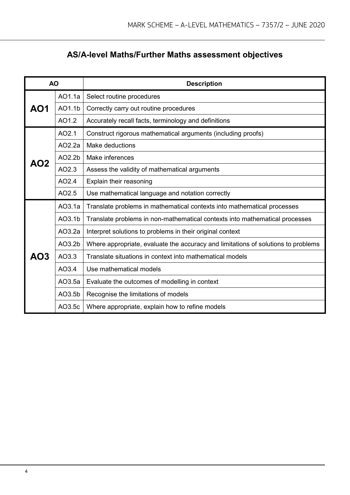# **AS/A-level Maths/Further Maths assessment objectives**

| <b>AO</b> |        | <b>Description</b>                                                                |  |  |  |  |
|-----------|--------|-----------------------------------------------------------------------------------|--|--|--|--|
|           | AO1.1a | Select routine procedures                                                         |  |  |  |  |
| AO1       | AO1.1b | Correctly carry out routine procedures                                            |  |  |  |  |
|           | AO1.2  | Accurately recall facts, terminology and definitions                              |  |  |  |  |
|           | AO2.1  | Construct rigorous mathematical arguments (including proofs)                      |  |  |  |  |
| AO2       | AO2.2a | Make deductions                                                                   |  |  |  |  |
|           | AO2.2b | Make inferences                                                                   |  |  |  |  |
|           | AO2.3  | Assess the validity of mathematical arguments                                     |  |  |  |  |
|           | AO2.4  | Explain their reasoning                                                           |  |  |  |  |
|           | AO2.5  | Use mathematical language and notation correctly                                  |  |  |  |  |
|           | AO3.1a | Translate problems in mathematical contexts into mathematical processes           |  |  |  |  |
|           | AO3.1b | Translate problems in non-mathematical contexts into mathematical processes       |  |  |  |  |
|           | AO3.2a | Interpret solutions to problems in their original context                         |  |  |  |  |
|           | AO3.2b | Where appropriate, evaluate the accuracy and limitations of solutions to problems |  |  |  |  |
| AO3       | AO3.3  | Translate situations in context into mathematical models                          |  |  |  |  |
|           | AO3.4  | Use mathematical models                                                           |  |  |  |  |
|           | AO3.5a | Evaluate the outcomes of modelling in context                                     |  |  |  |  |
|           | AO3.5b | Recognise the limitations of models                                               |  |  |  |  |
|           | AO3.5c | Where appropriate, explain how to refine models                                   |  |  |  |  |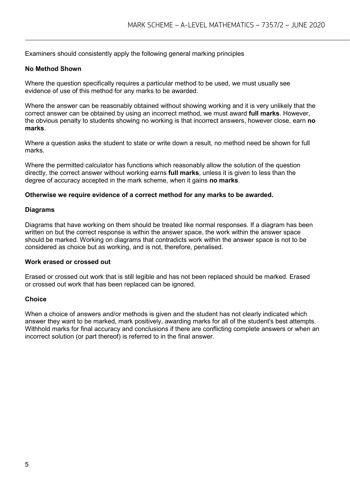Examiners should consistently apply the following general marking principles

#### **No Method Shown**

Where the question specifically requires a particular method to be used, we must usually see evidence of use of this method for any marks to be awarded.

Where the answer can be reasonably obtained without showing working and it is very unlikely that the correct answer can be obtained by using an incorrect method, we must award **full marks**. However, the obvious penalty to students showing no working is that incorrect answers, however close, earn **no marks**.

Where a question asks the student to state or write down a result, no method need be shown for full marks.

Where the permitted calculator has functions which reasonably allow the solution of the question directly, the correct answer without working earns **full marks**, unless it is given to less than the degree of accuracy accepted in the mark scheme, when it gains **no marks**.

#### **Otherwise we require evidence of a correct method for any marks to be awarded.**

#### **Diagrams**

Diagrams that have working on them should be treated like normal responses. If a diagram has been written on but the correct response is within the answer space, the work within the answer space should be marked. Working on diagrams that contradicts work within the answer space is not to be considered as choice but as working, and is not, therefore, penalised.

#### **Work erased or crossed out**

Erased or crossed out work that is still legible and has not been replaced should be marked. Erased or crossed out work that has been replaced can be ignored.

#### **Choice**

When a choice of answers and/or methods is given and the student has not clearly indicated which answer they want to be marked, mark positively, awarding marks for all of the student's best attempts. Withhold marks for final accuracy and conclusions if there are conflicting complete answers or when an incorrect solution (or part thereof) is referred to in the final answer.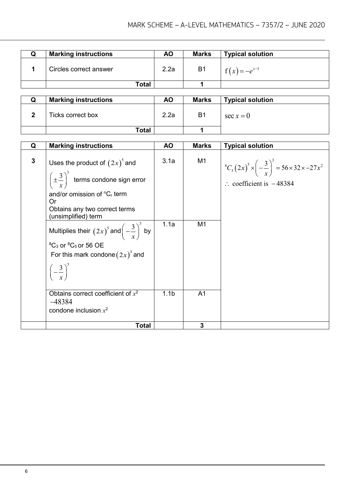| <b>Marking instructions</b> | ΑO   | <b>Marks</b>   | <b>Typical solution</b> |
|-----------------------------|------|----------------|-------------------------|
| Circles correct answer      | 2.2a | B <sub>1</sub> | $f(x) = -e^{x-1}$       |
| Total                       |      |                |                         |

| <b>Marking instructions</b> | ΑO   | <b>Marks</b> | <b>Typical solution</b> |
|-----------------------------|------|--------------|-------------------------|
| Ticks correct box           | 2.2a | B1           | $\sec x = 0$            |
| Total                       |      |              |                         |

| Q            | <b>Marking instructions</b>                                                                                                                                                                          | <b>AO</b>        | <b>Marks</b>   | <b>Typical solution</b>                                                                                                           |
|--------------|------------------------------------------------------------------------------------------------------------------------------------------------------------------------------------------------------|------------------|----------------|-----------------------------------------------------------------------------------------------------------------------------------|
| $\mathbf{3}$ | Uses the product of $(2x)^3$ and<br>$\left(\pm \frac{3}{r}\right)^3$ terms condone sign error<br>and/or omission of ${}^{n}C_{r}$ term<br>Or<br>Obtains any two correct terms<br>(unsimplified) term | 3.1a             | M <sub>1</sub> | $\int_{0}^{8} C_3 (2x)^5 \times \left(-\frac{3}{x}\right)^3 = 56 \times 32 \times -27x^2$<br>$\therefore$ coefficient is $-48384$ |
|              | Multiplies their $(2x)^5$ and $\left(-\frac{3}{x}\right)^3$ by<br>${}^{8}C_3$ or ${}^{8}C_5$ or 56 OE<br>For this mark condone $(2x)^3$ and<br>$\left(-\frac{3}{x}\right)^5$                         | 1.1a             | M <sub>1</sub> |                                                                                                                                   |
|              | Obtains correct coefficient of $x^2$<br>$-48384$<br>condone inclusion $x^2$                                                                                                                          | 1.1 <sub>b</sub> | A <sub>1</sub> |                                                                                                                                   |
|              | <b>Total</b>                                                                                                                                                                                         |                  | 3              |                                                                                                                                   |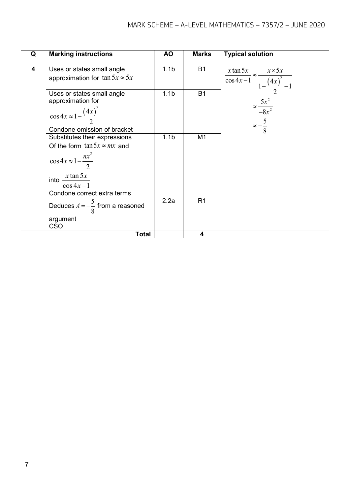| Q | <b>Marking instructions</b>                                                                                                                                                            | <b>AO</b>        | <b>Marks</b>   | <b>Typical solution</b>                                                              |
|---|----------------------------------------------------------------------------------------------------------------------------------------------------------------------------------------|------------------|----------------|--------------------------------------------------------------------------------------|
|   |                                                                                                                                                                                        |                  |                |                                                                                      |
| 4 | Uses or states small angle<br>approximation for $\tan 5x \approx 5x$                                                                                                                   | 1.1 <sub>b</sub> | <b>B1</b>      | $\frac{x \tan 5x}{\cos 4x - 1} \approx \frac{x \times 5x}{1 - \frac{(4x)^2}{2} - 1}$ |
|   | Uses or states small angle<br>approximation for<br>$\cos 4x \approx 1 - \frac{(4x)^2}{2}$<br>Condone omission of bracket                                                               | 1.1 <sub>b</sub> | <b>B1</b>      | $\approx \frac{5x^2}{-8x^2}$<br>$\approx -\frac{5}{8}$                               |
|   | Substitutes their expressions<br>Of the form $\tan 5x \approx mx$ and<br>$\cos 4x \approx 1 - \frac{nx^2}{2}$<br>$x \tan 5x$<br>$into -$<br>$\cos 4x-1$<br>Condone correct extra terms | 1.1 <sub>b</sub> | M <sub>1</sub> |                                                                                      |
|   | Deduces $A=-\frac{5}{8}$ from a reasoned<br>argument<br><b>CSO</b>                                                                                                                     | 2.2a             | R <sub>1</sub> |                                                                                      |
|   | <b>Total</b>                                                                                                                                                                           |                  | 4              |                                                                                      |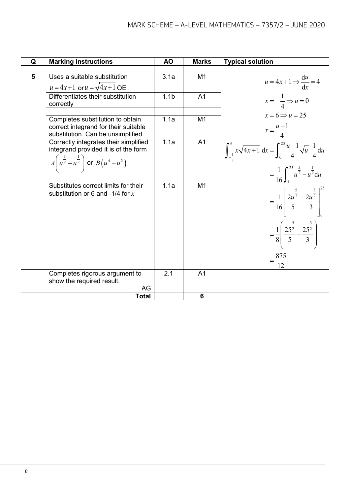| Q | <b>Marking instructions</b>                                                                                                                                 | <b>AO</b>        | <b>Marks</b>   | <b>Typical solution</b>                                                                  |
|---|-------------------------------------------------------------------------------------------------------------------------------------------------------------|------------------|----------------|------------------------------------------------------------------------------------------|
| 5 | Uses a suitable substitution<br>$u = 4x+1$ or $u = \sqrt{4x+1}$ OE                                                                                          | 3.1a             | M1             | $u = 4x+1 \Rightarrow \frac{du}{dx} = 4$                                                 |
|   | Differentiates their substitution<br>correctly                                                                                                              | 1.1 <sub>b</sub> | A <sub>1</sub> | $x=-\frac{1}{4} \Rightarrow u=0$                                                         |
|   | Completes substitution to obtain<br>correct integrand for their suitable<br>substitution. Can be unsimplified.                                              | 1.1a             | M1             | $x=6 \implies u=25$<br>$x = \frac{u-1}{4}$                                               |
|   | Correctly integrates their simplified<br>integrand provided it is of the form<br>$A\left(u^{\frac{3}{2}}-u^{\frac{1}{2}}\right)$ or $B\left(u^4-u^2\right)$ | 1.1a             | A <sub>1</sub> | $\int_{-1}^{6} x\sqrt{4x+1} \, dx = \int_{0}^{25} \frac{u-1}{4} \sqrt{u} \frac{1}{4} du$ |
|   |                                                                                                                                                             |                  |                | $=\frac{1}{16}\int_{1}^{25}\frac{3}{u^2}-u^{\frac{1}{2}}du$                              |
|   | Substitutes correct limits for their<br>substitution or 6 and -1/4 for $x$                                                                                  | 1.1a             | M <sub>1</sub> | $=\frac{1}{16}\left \frac{2u^{\frac{5}{2}}}{5}-\frac{2u^{\frac{3}{2}}}{3}\right ^{-1}$   |
|   |                                                                                                                                                             |                  |                | $=\frac{1}{8}\left(\frac{25^{\frac{5}{2}}}{5}-\frac{25^{\frac{3}{2}}}{3}\right)$         |
|   |                                                                                                                                                             |                  |                | $=$ $\frac{875}{1}$<br>12                                                                |
|   | Completes rigorous argument to<br>show the required result.<br>AG                                                                                           | 2.1              | A <sub>1</sub> |                                                                                          |
|   | <b>Total</b>                                                                                                                                                |                  | 6              |                                                                                          |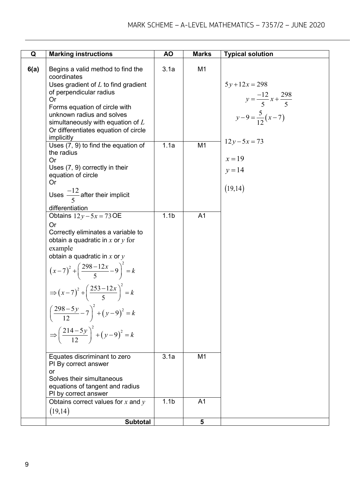| Q    | <b>Marking instructions</b>                                                                                                                                                                                                                                                                                                                                                                                                                                                             | <b>AO</b>                | <b>Marks</b>                     | <b>Typical solution</b>                                                                                                               |
|------|-----------------------------------------------------------------------------------------------------------------------------------------------------------------------------------------------------------------------------------------------------------------------------------------------------------------------------------------------------------------------------------------------------------------------------------------------------------------------------------------|--------------------------|----------------------------------|---------------------------------------------------------------------------------------------------------------------------------------|
| 6(a) | Begins a valid method to find the<br>coordinates<br>Uses gradient of $L$ to find gradient<br>of perpendicular radius<br><b>Or</b><br>Forms equation of circle with<br>unknown radius and solves<br>simultaneously with equation of $L$<br>Or differentiates equation of circle<br><i>implicitly</i><br>Uses (7, 9) to find the equation of<br>the radius<br><b>Or</b><br>Uses (7, 9) correctly in their<br>equation of circle<br><b>Or</b><br>Uses $\frac{-12}{5}$ after their implicit | 3.1a<br>1.1a             | M <sub>1</sub><br>M1             | $5y+12x=298$<br>$y = \frac{-12}{5}x + \frac{298}{5}$<br>$y-9=\frac{5}{12}(x-7)$<br>$12y - 5x = 73$<br>$x = 19$<br>$y = 14$<br>(19,14) |
|      | differentiation<br>Obtains $12y - 5x = 73$ OE<br><b>Or</b><br>Correctly eliminates a variable to<br>obtain a quadratic in $x$ or $y$ for<br>example<br>obtain a quadratic in $x$ or $y$<br>$(x-7)^2 + \left(\frac{298-12x}{5}-9\right)^2 = k$<br>$\Rightarrow (x-7)^2 + \left(\frac{253-12x}{5}\right)^2 = k$<br>$\left(\frac{298-5y}{12}-7\right)^2 + (y-9)^2 = k$<br>$\Rightarrow \left(\frac{214-5y}{12}\right)^2 + (y-9)^2 = k$                                                     | 1.1 <sub>b</sub>         | A <sub>1</sub>                   |                                                                                                                                       |
|      | Equates discriminant to zero<br>PI By correct answer<br>or<br>Solves their simultaneous<br>equations of tangent and radius<br>PI by correct answer<br>Obtains correct values for $x$ and $y$                                                                                                                                                                                                                                                                                            | 3.1a<br>1.1 <sub>b</sub> | M <sub>1</sub><br>A <sub>1</sub> |                                                                                                                                       |
|      | (19,14)                                                                                                                                                                                                                                                                                                                                                                                                                                                                                 |                          |                                  |                                                                                                                                       |
|      | <b>Subtotal</b>                                                                                                                                                                                                                                                                                                                                                                                                                                                                         |                          | 5                                |                                                                                                                                       |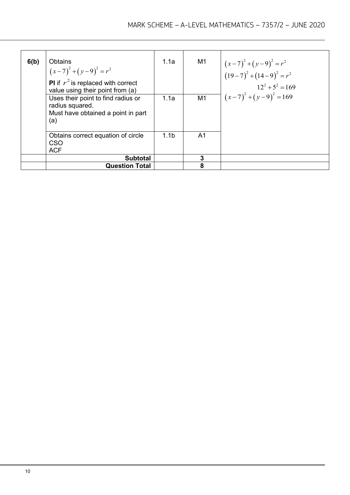| 6(b) | <b>Obtains</b><br>$(x-7)^{2} + (y-9)^{2} = r^{2}$<br><b>PI</b> if $r^2$ is replaced with correct<br>value using their point from (a) | 1.1a             | M1 | $(x-7)^{2} + (y-9)^{2} = r^{2}$<br>$(19-7)^{2} + (14-9)^{2} = r^{2}$<br>$12^2 + 5^2 = 169$ |
|------|--------------------------------------------------------------------------------------------------------------------------------------|------------------|----|--------------------------------------------------------------------------------------------|
|      | Uses their point to find radius or<br>radius squared.<br>Must have obtained a point in part<br>(a)                                   | 1.1a             | M1 | $(x-7)^2 + (y-9)^2 = 169$                                                                  |
|      | Obtains correct equation of circle<br>CSO<br><b>ACF</b>                                                                              | 1.1 <sub>b</sub> | A1 |                                                                                            |
|      | <b>Subtotal</b>                                                                                                                      |                  | 3  |                                                                                            |
|      | <b>Question Total</b>                                                                                                                |                  | 8  |                                                                                            |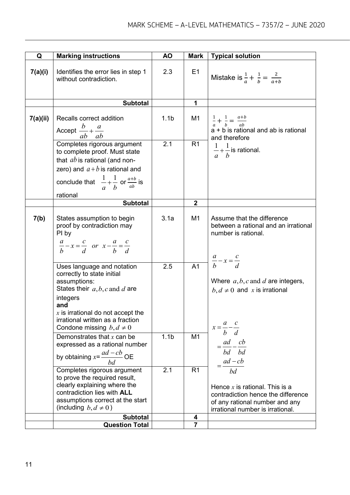| Q        | <b>Marking instructions</b>                                                                                                                                                                                                                 | <b>AO</b>        | <b>Mark</b>    | <b>Typical solution</b>                                                                                                                            |
|----------|---------------------------------------------------------------------------------------------------------------------------------------------------------------------------------------------------------------------------------------------|------------------|----------------|----------------------------------------------------------------------------------------------------------------------------------------------------|
| 7(a)(i)  | Identifies the error lies in step 1<br>without contradiction.                                                                                                                                                                               | 2.3              | E1             | Mistake is $\frac{1}{a} + \frac{1}{b} = \frac{2}{a+b}$                                                                                             |
|          | <b>Subtotal</b>                                                                                                                                                                                                                             |                  | 1              |                                                                                                                                                    |
| 7(a)(ii) | Recalls correct addition<br>Accept $\frac{b}{ab} + \frac{a}{ab}$                                                                                                                                                                            | 1.1 <sub>b</sub> | M1             | $\frac{1}{a} + \frac{1}{b} = \frac{a+b}{ab}$<br>$a + b$ is rational and ab is rational<br>and therefore                                            |
|          | Completes rigorous argument<br>to complete proof. Must state<br>that $ab$ is rational (and non-<br>zero) and $a + b$ is rational and<br>conclude that $\frac{1}{a} + \frac{1}{b}$ or $\frac{a+b}{ab}$ is<br>rational                        | 2.1              | R1             | $\frac{1}{-}+\frac{1}{-}$ is rational.<br>$a \cdot b$                                                                                              |
|          | <b>Subtotal</b>                                                                                                                                                                                                                             |                  | $\overline{2}$ |                                                                                                                                                    |
| 7(b)     | States assumption to begin<br>proof by contradiction may<br>PI by<br>$\frac{a}{b} - x = \frac{c}{d}$ or $x - \frac{a}{b} = \frac{c}{d}$                                                                                                     | 3.1a             | M <sub>1</sub> | Assume that the difference<br>between a rational and an irrational<br>number is rational.<br>$\frac{a}{b} - x = \frac{c}{d}$                       |
|          | Uses language and notation<br>correctly to state initial<br>assumptions:<br>States their $a, b, c$ and d are<br>integers<br>and<br>$x$ is irrational do not accept the<br>irrational written as a fraction<br>Condone missing $b, d \neq 0$ | 2.5              | A <sub>1</sub> | Where $a, b, c$ and $d$ are integers,<br>$b, d \neq 0$ and x is irrational<br>$x = \frac{a}{b} - \frac{c}{d}$                                      |
|          | Demonstrates that $x$ can be<br>expressed as a rational number<br>by obtaining $x = \frac{ad - cb}{bd}$ OE                                                                                                                                  | 1.1 <sub>b</sub> | M <sub>1</sub> | $=\frac{ad}{bd}-\frac{cb}{bd}$<br>$=\frac{ad-cb}{2}$                                                                                               |
|          | Completes rigorous argument<br>to prove the required result,<br>clearly explaining where the<br>contradiction lies with <b>ALL</b><br>assumptions correct at the start<br>(including $b, d \neq 0$ )                                        | 2.1              | R <sub>1</sub> | bd<br>Hence $x$ is rational. This is a<br>contradiction hence the difference<br>of any rational number and any<br>irrational number is irrational. |
|          | <b>Subtotal</b>                                                                                                                                                                                                                             |                  | 4              |                                                                                                                                                    |
|          | <b>Question Total</b>                                                                                                                                                                                                                       |                  | $\overline{7}$ |                                                                                                                                                    |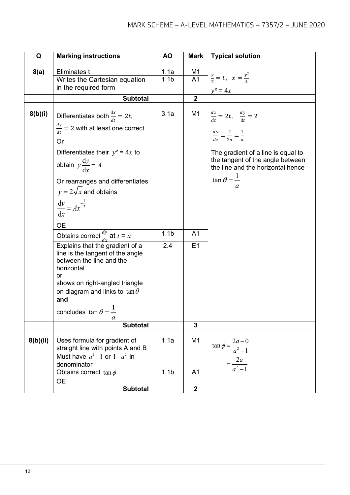| Q        | <b>Marking instructions</b>                                                                                                                                                                                                                         | <b>AO</b>        | <b>Mark</b>             | <b>Typical solution</b>                                                |
|----------|-----------------------------------------------------------------------------------------------------------------------------------------------------------------------------------------------------------------------------------------------------|------------------|-------------------------|------------------------------------------------------------------------|
|          |                                                                                                                                                                                                                                                     |                  |                         |                                                                        |
| 8(a)     | Eliminates t                                                                                                                                                                                                                                        | 1.1a             | $\frac{M1}{A1}$         | $\frac{y}{2} = t$ , $x = \frac{y^2}{4}$                                |
|          | Writes the Cartesian equation                                                                                                                                                                                                                       | 1.1 <sub>b</sub> |                         |                                                                        |
|          | in the required form                                                                                                                                                                                                                                |                  |                         | $y^2 = 4x$                                                             |
|          | <b>Subtotal</b>                                                                                                                                                                                                                                     |                  | $\overline{2}$          |                                                                        |
| 8(b)(i)  | Differentiates both $\frac{dx}{dt} = 2t$ ,<br>$\frac{dy}{dt}$ = 2 with at least one correct                                                                                                                                                         | 3.1a             | M1                      | $\frac{dx}{dt} = 2t, \quad \frac{dy}{dt} = 2$                          |
|          | <b>Or</b>                                                                                                                                                                                                                                           |                  |                         | $\frac{dy}{dx} = \frac{2}{2a} = \frac{1}{a}$                           |
|          | Differentiates their $y^2 = 4x$ to<br>obtain $y \frac{dy}{dx} = A$                                                                                                                                                                                  |                  |                         | The gradient of a line is equal to<br>the tangent of the angle between |
|          | Or rearranges and differentiates                                                                                                                                                                                                                    |                  |                         | the line and the horizontal hence<br>$\tan \theta = \frac{1}{2}$       |
|          | $y = 2\sqrt{x}$ and obtains                                                                                                                                                                                                                         |                  |                         |                                                                        |
|          | $\frac{\mathrm{d}y}{\mathrm{d}x} = Ax^{-\frac{1}{2}}$                                                                                                                                                                                               |                  |                         |                                                                        |
|          | <b>OE</b>                                                                                                                                                                                                                                           |                  |                         |                                                                        |
|          | Obtains correct $\frac{dy}{dx}$ at $t = a$                                                                                                                                                                                                          | 1.1 <sub>b</sub> | A <sub>1</sub>          |                                                                        |
|          | Explains that the gradient of a<br>line is the tangent of the angle<br>between the line and the<br>horizontal<br>or<br>shows on right-angled triangle<br>on diagram and links to $\tan \theta$<br>and<br>concludes $\tan \theta = \frac{1}{2}$<br>a | 2.4              | E1                      |                                                                        |
|          | <b>Subtotal</b>                                                                                                                                                                                                                                     |                  | $\mathbf{3}$            |                                                                        |
| 8(b)(ii) | Uses formula for gradient of<br>straight line with points A and B<br>Must have $a^2-1$ or $1-a^2$ in                                                                                                                                                | 1.1a             | M <sub>1</sub>          | $\tan \phi = \frac{2a-0}{a^2-1}$                                       |
|          | denominator<br>Obtains correct $\tan \phi$                                                                                                                                                                                                          | 1.1 <sub>b</sub> | A <sub>1</sub>          | $=\frac{2a}{a^2-1}$                                                    |
|          | OE<br><b>Subtotal</b>                                                                                                                                                                                                                               |                  | $\overline{\mathbf{2}}$ |                                                                        |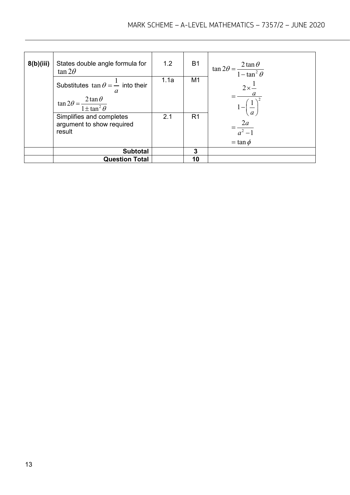| 8(b)(iii) | States double angle formula for<br>$\tan 2\theta$                                                                | 1.2  | <b>B1</b>      | $\tan 2\theta = \frac{2\tan\theta}{1-\tan^2\theta}$  |
|-----------|------------------------------------------------------------------------------------------------------------------|------|----------------|------------------------------------------------------|
|           | Substitutes $\tan \theta = \frac{1}{x}$ into their<br>a<br>$\tan 2\theta = \frac{2\tan\theta}{1\pm\tan^2\theta}$ | 1.1a | M1             | $2\times\frac{1}{2}$<br>$1-\left(\frac{1}{2}\right)$ |
|           | Simplifies and completes<br>argument to show required<br>result                                                  | 2.1  | R <sub>1</sub> | $=\frac{2a}{a^2-1}$<br>$=$ tan $\phi$                |
|           | <b>Subtotal</b>                                                                                                  |      | 3              |                                                      |
|           | <b>Question Total</b>                                                                                            |      | 10             |                                                      |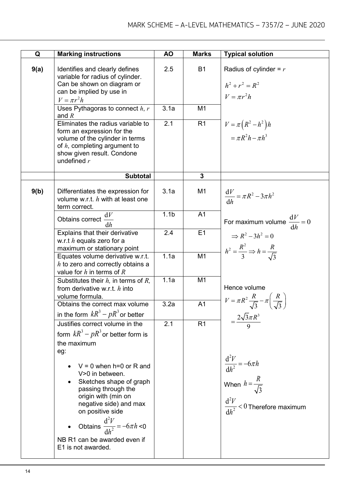| Q    | <b>Marking instructions</b>                                                                                                                                                                                      | <b>AO</b>        | <b>Marks</b>   | <b>Typical solution</b>                                                                                     |
|------|------------------------------------------------------------------------------------------------------------------------------------------------------------------------------------------------------------------|------------------|----------------|-------------------------------------------------------------------------------------------------------------|
| 9(a) | Identifies and clearly defines<br>variable for radius of cylinder.<br>Can be shown on diagram or<br>can be implied by use in<br>$V = \pi r^2 h$                                                                  | 2.5              | <b>B1</b>      | Radius of cylinder = $r$<br>$h^2 + r^2 = R^2$<br>$V = \pi r^2 h$                                            |
|      | Uses Pythagoras to connect $h, r$<br>and $R$                                                                                                                                                                     | 3.1a             | M <sub>1</sub> |                                                                                                             |
|      | Eliminates the radius variable to<br>form an expression for the<br>volume of the cylinder in terms<br>of $h$ , completing argument to<br>show given result. Condone<br>undefined $r$                             | 2.1              | R <sub>1</sub> | $V = \pi \left( R^2 - h^2 \right) h$<br>$= \pi R^2 h - \pi h^3$                                             |
|      | <b>Subtotal</b>                                                                                                                                                                                                  |                  | $\overline{3}$ |                                                                                                             |
| 9(b) | Differentiates the expression for<br>volume w.r.t. $h$ with at least one<br>term correct.                                                                                                                        | 3.1a             | M <sub>1</sub> | $\frac{\mathrm{d}V}{\mathrm{d}h} = \pi R^2 - 3\pi h^2$                                                      |
|      | dV<br>Obtains correct -<br>dh                                                                                                                                                                                    | 1.1 <sub>b</sub> | A <sub>1</sub> | For maximum volume $\frac{dV}{dt} = 0$                                                                      |
|      | Explains that their derivative<br>w.r.t $h$ equals zero for a<br>maximum or stationary point                                                                                                                     | 2.4              | E1             | $\Rightarrow R^2 - 3h^2 = 0$<br>$h^2 = \frac{R^2}{3} \Rightarrow h = \frac{R}{\sqrt{3}}$                    |
|      | Equates volume derivative w.r.t.<br>$h$ to zero and correctly obtains a<br>value for $h$ in terms of $R$                                                                                                         | 1.1a             | M <sub>1</sub> |                                                                                                             |
|      | Substitutes their $h$ , in terms of $R$ ,<br>from derivative w.r.t. $h$ into<br>volume formula.                                                                                                                  | 1.1a             | M <sub>1</sub> | Hence volume                                                                                                |
|      | Obtains the correct max volume<br>in the form $kR^3 - pR^3$ or better                                                                                                                                            | 3.2a             | A <sub>1</sub> | $V = \pi R^2 \frac{R}{\sqrt{3}} - \pi \left( \frac{R}{\sqrt{3}} \right)$                                    |
|      | Justifies correct volume in the<br>form $kR^3 - pR^3$ or better form is<br>the maximum<br>eg:                                                                                                                    | 2.1              | R <sub>1</sub> | $=\frac{2\sqrt{3}\pi R^3}{2}$                                                                               |
|      | $V = 0$ when h=0 or R and<br>V>0 in between.<br>Sketches shape of graph<br>passing through the<br>origin with (min on<br>negative side) and max<br>on positive side<br>Obtains $\frac{d^2V}{dh^2} = -6\pi h < 0$ |                  |                | $\frac{d^2V}{dh^2} = -6\pi h$<br>When $h = \frac{R}{\sqrt{3}}$<br>$\frac{d^2V}{dh^2} < 0$ Therefore maximum |
|      | NB R1 can be awarded even if<br>E1 is not awarded.                                                                                                                                                               |                  |                |                                                                                                             |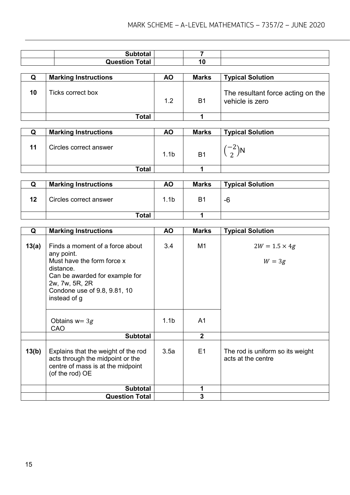| <b>Total</b><br>Question | I. |  |
|--------------------------|----|--|

|    | <b>Marking Instructions</b> | AO. | <b>Marks</b> | <b>Typical Solution</b>                              |
|----|-----------------------------|-----|--------------|------------------------------------------------------|
| 10 | Ticks correct box           | 1.2 | B1           | The resultant force acting on the<br>vehicle is zero |
|    | Total                       |     |              |                                                      |

| w | <b>Marking Instructions</b> | <b>AO</b>        | <b>Marks</b>   | <b>Typical Solution</b> |
|---|-----------------------------|------------------|----------------|-------------------------|
|   | Circles correct answer      | 1.1 <sub>b</sub> | B <sub>1</sub> | $\sqrt{2}$              |
|   | Total                       |                  |                |                         |

|    | <b>Marking Instructions</b> | ΑO   | <b>Marks</b> | <b>Typical Solution</b> |
|----|-----------------------------|------|--------------|-------------------------|
| 12 | Circles correct answer      | 1.1b | B1           | -6                      |
|    | <b>Total</b>                |      |              |                         |

| Q     | <b>Marking Instructions</b>                                                                                                                                                                  | <b>AO</b>        | <b>Marks</b>   | <b>Typical Solution</b>                                |
|-------|----------------------------------------------------------------------------------------------------------------------------------------------------------------------------------------------|------------------|----------------|--------------------------------------------------------|
| 13(a) | Finds a moment of a force about<br>any point.<br>Must have the form force x<br>distance.<br>Can be awarded for example for<br>2w, 7w, 5R, 2R<br>Condone use of 9.8, 9.81, 10<br>instead of g | 3.4              | M1             | $2W = 1.5 \times 4g$<br>$W = 3g$                       |
|       | Obtains $w = 3g$<br>CAO                                                                                                                                                                      | 1.1 <sub>b</sub> | A <sub>1</sub> |                                                        |
|       | <b>Subtotal</b>                                                                                                                                                                              |                  | 2 <sup>1</sup> |                                                        |
| 13(b) | Explains that the weight of the rod<br>acts through the midpoint or the<br>centre of mass is at the midpoint<br>(of the rod) OE                                                              | 3.5a             | E1             | The rod is uniform so its weight<br>acts at the centre |
|       | <b>Subtotal</b>                                                                                                                                                                              |                  |                |                                                        |
|       | <b>Question Total</b>                                                                                                                                                                        |                  | 3              |                                                        |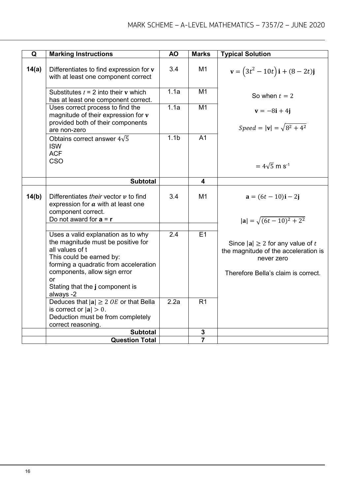| Q     | <b>Marking Instructions</b>                                                                                                                                                                                                                            | <b>AO</b>        | <b>Marks</b>   | <b>Typical Solution</b>                                                                                                            |
|-------|--------------------------------------------------------------------------------------------------------------------------------------------------------------------------------------------------------------------------------------------------------|------------------|----------------|------------------------------------------------------------------------------------------------------------------------------------|
|       |                                                                                                                                                                                                                                                        |                  |                |                                                                                                                                    |
| 14(a) | Differentiates to find expression for v<br>with at least one component correct                                                                                                                                                                         | 3.4              | M <sub>1</sub> | $\mathbf{v} = (3t^2 - 10t)\mathbf{i} + (8 - 2t)\mathbf{j}$                                                                         |
|       | Substitutes $t = 2$ into their v which<br>has at least one component correct.                                                                                                                                                                          | 1.1a             | M <sub>1</sub> | So when $t = 2$                                                                                                                    |
|       | Uses correct process to find the<br>magnitude of their expression for v<br>provided both of their components<br>are non-zero                                                                                                                           | 1.1a             | M <sub>1</sub> | $\mathbf{v} = -8\mathbf{i} + 4\mathbf{j}$<br>Speed = $ v  = \sqrt{8^2 + 4^2}$                                                      |
|       | Obtains correct answer $4\sqrt{5}$<br><b>ISW</b><br><b>ACF</b><br>CSO                                                                                                                                                                                  | 1.1 <sub>b</sub> | A <sub>1</sub> | $= 4\sqrt{5}$ m s <sup>-1</sup>                                                                                                    |
|       | <b>Subtotal</b>                                                                                                                                                                                                                                        |                  | 4              |                                                                                                                                    |
| 14(b) | Differentiates their vector $v$ to find<br>expression for $a$ with at least one<br>component correct.<br>Do not award for $a = r$                                                                                                                      | 3.4              | M1             | $a = (6t - 10)i - 2j$<br>$ a  = \sqrt{(6t - 10)^2 + 2^2}$                                                                          |
|       |                                                                                                                                                                                                                                                        |                  |                |                                                                                                                                    |
|       | Uses a valid explanation as to why<br>the magnitude must be positive for<br>all values of t<br>This could be earned by:<br>forming a quadratic from acceleration<br>components, allow sign error<br>or<br>Stating that the j component is<br>always -2 | 2.4              | E1             | Since $ a  \geq 2$ for any value of t<br>the magnitude of the acceleration is<br>never zero<br>Therefore Bella's claim is correct. |
|       | Deduces that $ a  \ge 2$ OE or that Bella<br>is correct or $ a  > 0$ .<br>Deduction must be from completely<br>correct reasoning.                                                                                                                      | 2.2a             | R <sub>1</sub> |                                                                                                                                    |
|       | <b>Subtotal</b>                                                                                                                                                                                                                                        |                  | 3              |                                                                                                                                    |
|       | <b>Question Total</b>                                                                                                                                                                                                                                  |                  | $\overline{7}$ |                                                                                                                                    |
|       |                                                                                                                                                                                                                                                        |                  |                |                                                                                                                                    |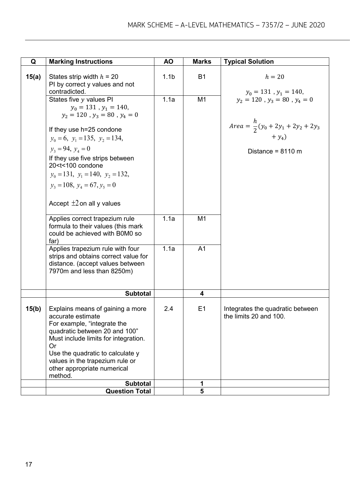| Q     | <b>Marking Instructions</b>                                                                                                                                                                                                                                                                                                                                                                             | <b>AO</b>        | <b>Marks</b>   | <b>Typical Solution</b>                                           |
|-------|---------------------------------------------------------------------------------------------------------------------------------------------------------------------------------------------------------------------------------------------------------------------------------------------------------------------------------------------------------------------------------------------------------|------------------|----------------|-------------------------------------------------------------------|
| 15(a) | States strip width $h = 20$<br>PI by correct y values and not<br>contradicted.                                                                                                                                                                                                                                                                                                                          | 1.1 <sub>b</sub> | <b>B1</b>      | $h=20$<br>$y_0 = 131$ , $y_1 = 140$ ,                             |
|       | States five y values PI<br>$y_0 = 131$ , $y_1 = 140$ ,<br>$y_2 = 120$ , $y_3 = 80$ , $y_4 = 0$                                                                                                                                                                                                                                                                                                          | 1.1a             | M <sub>1</sub> | $y_2 = 120$ , $y_3 = 80$ , $y_4 = 0$                              |
|       | If they use h=25 condone<br>$y_0 = 6$ , $y_1 = 135$ , $y_2 = 134$ ,                                                                                                                                                                                                                                                                                                                                     |                  |                | <i>Area</i> = $\frac{h}{2}(y_0 + 2y_1 + 2y_2 + 2y_3)$<br>$+y_4$ ) |
|       | $y_3 = 94$ , $y_4 = 0$<br>If they use five strips between<br>20 <t<100 condone<br=""><math>y_0 = 131</math>, <math>y_1 = 140</math>, <math>y_2 = 132</math>,<br/><math>y_3 = 108</math>, <math>y_4 = 67</math>, <math>y_5 = 0</math><br/>Accept <math>\pm 2</math> on all y values<br/>Applies correct trapezium rule<br/>formula to their values (this mark<br/>could be achieved with B0M0 so</t<100> | 1.1a             | M <sub>1</sub> | Distance = $8110 \text{ m}$                                       |
|       | far)<br>Applies trapezium rule with four<br>strips and obtains correct value for<br>distance. (accept values between<br>7970m and less than 8250m)                                                                                                                                                                                                                                                      | 1.1a             | A <sub>1</sub> |                                                                   |
|       | <b>Subtotal</b>                                                                                                                                                                                                                                                                                                                                                                                         |                  | 4              |                                                                   |
| 15(b) | Explains means of gaining a more<br>accurate estimate<br>For example, "integrate the<br>quadratic between 20 and 100"<br>Must include limits for integration.<br>Or<br>Use the quadratic to calculate y<br>values in the trapezium rule or<br>other appropriate numerical<br>method.                                                                                                                    | 2.4              | E1             | Integrates the quadratic between<br>the limits 20 and 100.        |
|       | <b>Subtotal</b>                                                                                                                                                                                                                                                                                                                                                                                         |                  | 1              |                                                                   |
|       | <b>Question Total</b>                                                                                                                                                                                                                                                                                                                                                                                   |                  | 5              |                                                                   |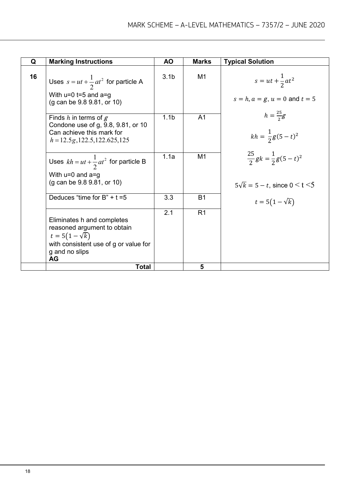| Q  | <b>Marking Instructions</b>                                                                                                                                | AO               | <b>Marks</b>   | <b>Typical Solution</b>                                                                 |
|----|------------------------------------------------------------------------------------------------------------------------------------------------------------|------------------|----------------|-----------------------------------------------------------------------------------------|
| 16 | Uses $s = ut + \frac{1}{2}at^2$ for particle A<br>With $u=0$ t=5 and a=g<br>(g can be 9.8 9.81, or 10)                                                     | 3.1 <sub>b</sub> | M <sub>1</sub> | $s = ut + \frac{1}{2}at^2$<br>$s = h, a = g, u = 0$ and $t = 5$                         |
|    | Finds $h$ in terms of $g$<br>Condone use of g, 9.8, 9.81, or 10<br>Can achieve this mark for<br>$h = 12.5g, 122.5, 122.625, 125$                           | 1.1 <sub>b</sub> | A <sub>1</sub> | $h=\frac{25}{3}g$<br>$kh = \frac{1}{2}g(5-t)^2$                                         |
|    | Uses $kh = ut + \frac{1}{2}at^2$ for particle B<br>With $u=0$ and $a=g$<br>(g can be 9.8 9.81, or 10)                                                      | 1.1a             | M <sub>1</sub> | $\frac{25}{2} gk = \frac{1}{2} g(5-t)^2$<br>$5\sqrt{k} = 5 - t$ , since $0 \le t \le 5$ |
|    | Deduces "time for $B" + t = 5$                                                                                                                             | 3.3              | <b>B1</b>      | $t = 5(1 - \sqrt{k})$                                                                   |
|    | Eliminates h and completes<br>reasoned argument to obtain<br>$t = 5(1 - \sqrt{k})$<br>with consistent use of g or value for<br>g and no slips<br><b>AG</b> | 2.1              | R <sub>1</sub> |                                                                                         |
|    | <b>Total</b>                                                                                                                                               |                  | 5              |                                                                                         |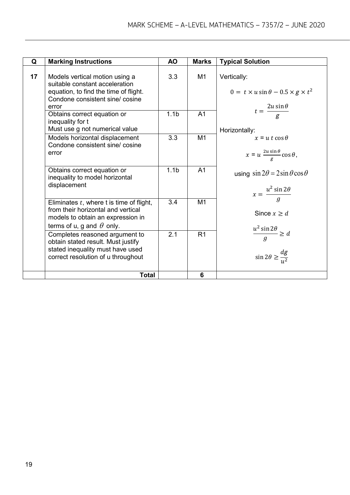| Q  | <b>Marking Instructions</b>                                                                                                                                | <b>AO</b>        | <b>Marks</b>   | <b>Typical Solution</b>                                                             |
|----|------------------------------------------------------------------------------------------------------------------------------------------------------------|------------------|----------------|-------------------------------------------------------------------------------------|
| 17 | Models vertical motion using a<br>suitable constant acceleration<br>equation, to find the time of flight.<br>Condone consistent sine/cosine<br>error       | 3.3              | M1             | Vertically:<br>$0 = t \times u \sin \theta - 0.5 \times g \times t^2$               |
|    | Obtains correct equation or<br>inequality for t<br>Must use g not numerical value                                                                          | 1.1 <sub>b</sub> | A <sub>1</sub> | $t = \frac{2u\sin\theta}{g}$<br>Horizontally:                                       |
|    | Models horizontal displacement<br>Condone consistent sine/cosine<br>error                                                                                  | 3.3              | M1             | $x = u t \cos \theta$<br>$x = u \frac{2u \sin \theta}{g} \cos \theta$ ,             |
|    | Obtains correct equation or<br>inequality to model horizontal<br>displacement                                                                              | 1.1 <sub>b</sub> | A <sub>1</sub> | using $\sin 2\theta = 2\sin \theta \cos \theta$<br>$x = \frac{u^2 \sin 2\theta}{a}$ |
|    | Eliminates $t$ , where t is time of flight,<br>from their horizontal and vertical<br>models to obtain an expression in<br>terms of u, g and $\theta$ only. | 3.4              | M <sub>1</sub> | Since $x \geq d$                                                                    |
|    | Completes reasoned argument to<br>obtain stated result. Must justify<br>stated inequality must have used<br>correct resolution of u throughout             | 2.1              | R <sub>1</sub> | $\frac{u^2 \sin 2\theta}{g} \ge d$<br>$\sin 2\theta \geq \frac{dg}{u^2}$            |
|    | <b>Total</b>                                                                                                                                               |                  | 6              |                                                                                     |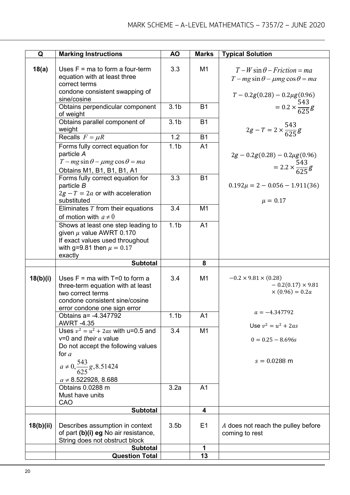| Q         | <b>Marking Instructions</b>                                                                                                                                    | <b>AO</b>        | <b>Marks</b>   | <b>Typical Solution</b>                                                                |
|-----------|----------------------------------------------------------------------------------------------------------------------------------------------------------------|------------------|----------------|----------------------------------------------------------------------------------------|
| 18(a)     | Uses $F = ma$ to form a four-term<br>equation with at least three<br>correct terms                                                                             | 3.3              | M <sub>1</sub> | $T-W\sin\theta - Friction = ma$<br>$T - mg \sin \theta - \mu mg \cos \theta = ma$      |
|           | condone consistent swapping of<br>sine/cosine                                                                                                                  |                  |                | $T - 0.2g(0.28) - 0.2\mu g(0.96)$                                                      |
|           | Obtains perpendicular component<br>of weight                                                                                                                   | 3.1 <sub>b</sub> | <b>B1</b>      | $= 0.2 \times \frac{543}{625} g$                                                       |
|           | Obtains parallel component of<br>weight                                                                                                                        | 3.1 <sub>b</sub> | <b>B1</b>      | $2g - T = 2 \times \frac{543}{625} g$                                                  |
|           | Recalls $F = \mu R$                                                                                                                                            | 1.2              | <b>B1</b>      |                                                                                        |
|           | Forms fully correct equation for<br>particle A<br>$T - mg \sin \theta - \mu mg \cos \theta = ma$<br>Obtains M1, B1, B1, B1, A1                                 | 1.1 <sub>b</sub> | A <sub>1</sub> | $2g - 0.2g(0.28) - 0.2\mu g(0.96)$<br>$= 2.2 \times \frac{543}{625} g$                 |
|           | Forms fully correct equation for<br>particle B<br>$2g - T = 2a$ or with acceleration<br>substituted                                                            | 3.3              | <b>B1</b>      | $0.192\mu = 2 - 0.056 - 1.911(36)$<br>$\mu = 0.17$                                     |
|           | Eliminates $T$ from their equations<br>of motion with $a \neq 0$                                                                                               | 3.4              | M <sub>1</sub> |                                                                                        |
|           | Shows at least one step leading to<br>given $\mu$ value AWRT 0.170<br>If exact values used throughout<br>with g=9.81 then $\mu = 0.17$<br>exactly              | 1.1 <sub>b</sub> | A <sub>1</sub> |                                                                                        |
|           | <b>Subtotal</b>                                                                                                                                                |                  | 8              |                                                                                        |
| 18(b)(i)  | Uses $F = ma$ with $T=0$ to form a<br>three-term equation with at least<br>two correct terms<br>condone consistent sine/cosine<br>error condone one sign error | 3.4              | M <sub>1</sub> | $-0.2 \times 9.81 \times (0.28)$<br>$-0.2(0.17) \times 9.81$<br>$\times (0.96) = 0.2a$ |
|           | Obtains a= -4.347792                                                                                                                                           | 1.1 <sub>b</sub> | A <sub>1</sub> | $a = -4.347792$                                                                        |
|           | <b>AWRT-4.35</b><br>Uses $v^2 = u^2 + 2as$ with u=0.5 and                                                                                                      | 3.4              | M <sub>1</sub> | Use $v^2 = u^2 + 2as$                                                                  |
|           | $v=0$ and their a value<br>Do not accept the following values<br>for $a$                                                                                       |                  |                | $0 = 0.25 - 8.696s$                                                                    |
|           | $a \ne 0, \frac{543}{625}g, 8.51424$<br>$a \neq 8.522928, 8.688$                                                                                               |                  |                | $s = 0.0288$ m                                                                         |
|           | Obtains 0.0288 m<br>Must have units<br>CAO                                                                                                                     | 3.2a             | A <sub>1</sub> |                                                                                        |
|           | <b>Subtotal</b>                                                                                                                                                |                  | 4              |                                                                                        |
| 18(b)(ii) | Describes assumption in context<br>of part (b)(i) eg No air resistance,<br>String does not obstruct block                                                      | 3.5 <sub>b</sub> | E1             | A does not reach the pulley before<br>coming to rest                                   |
|           | <b>Subtotal</b>                                                                                                                                                |                  | 1              |                                                                                        |
|           | <b>Question Total</b>                                                                                                                                          |                  | 13             |                                                                                        |